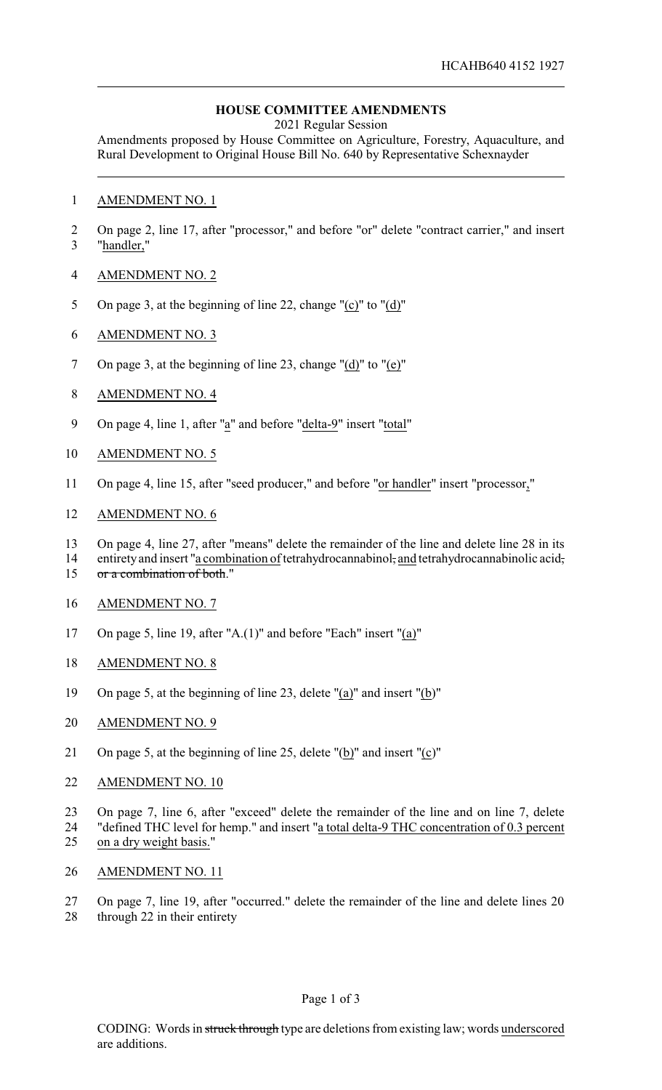## **HOUSE COMMITTEE AMENDMENTS**

2021 Regular Session

Amendments proposed by House Committee on Agriculture, Forestry, Aquaculture, and Rural Development to Original House Bill No. 640 by Representative Schexnayder

- AMENDMENT NO. 1
- On page 2, line 17, after "processor," and before "or" delete "contract carrier," and insert "handler,"
- AMENDMENT NO. 2
- On page 3, at the beginning of line 22, change "(c)" to "(d)"
- AMENDMENT NO. 3
- On page 3, at the beginning of line 23, change "(d)" to "(e)"
- AMENDMENT NO. 4
- On page 4, line 1, after "a" and before "delta-9" insert "total"
- AMENDMENT NO. 5
- On page 4, line 15, after "seed producer," and before "or handler" insert "processor,"
- AMENDMENT NO. 6
- 13 On page 4, line 27, after "means" delete the remainder of the line and delete line 28 in its<br>14 entirety and insert "a combination of tetrahydrocannabinol: and tetrahydrocannabinolic acid:
- entirety and insert "a combination of tetrahydrocannabinol, and tetrahydrocannabinolic acid, 15 or a combination of both."
- 
- AMENDMENT NO. 7
- On page 5, line 19, after "A.(1)" and before "Each" insert "(a)"
- AMENDMENT NO. 8
- On page 5, at the beginning of line 23, delete "(a)" and insert "(b)"
- AMENDMENT NO. 9
- On page 5, at the beginning of line 25, delete "(b)" and insert "(c)"
- AMENDMENT NO. 10
- On page 7, line 6, after "exceed" delete the remainder of the line and on line 7, delete
- "defined THC level for hemp." and insert "a total delta-9 THC concentration of 0.3 percent on a dry weight basis."
- AMENDMENT NO. 11
- On page 7, line 19, after "occurred." delete the remainder of the line and delete lines 20 through 22 in their entirety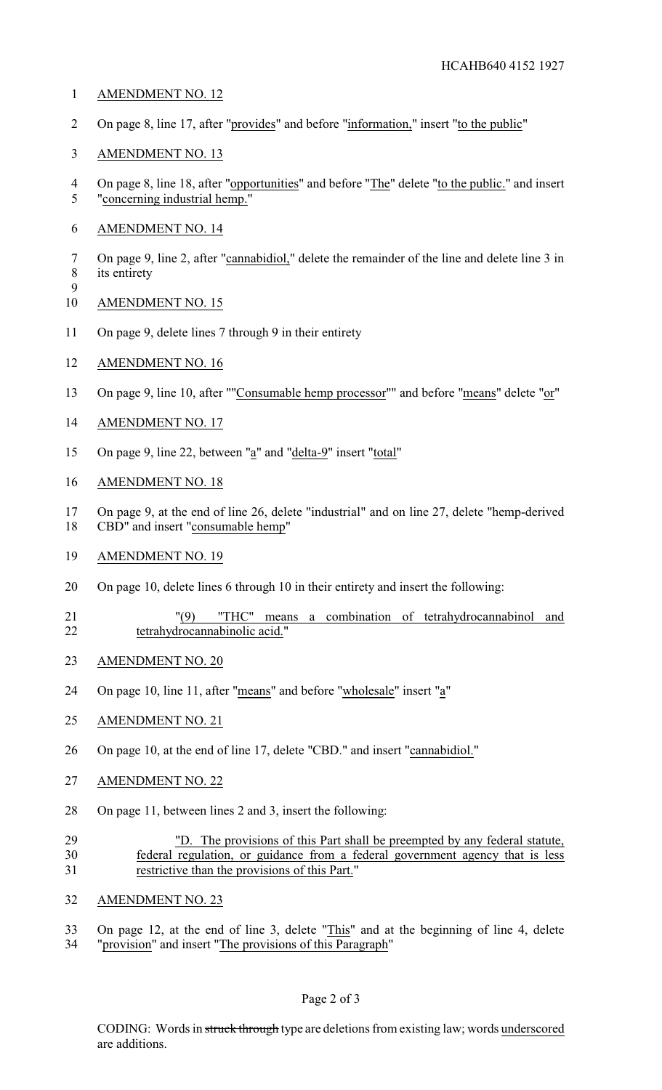- AMENDMENT NO. 12
- On page 8, line 17, after "provides" and before "information," insert "to the public"
- AMENDMENT NO. 13
- 4 On page 8, line 18, after "opportunities" and before "The" delete "to the public." and insert "concerning industrial hemp."
- AMENDMENT NO. 14
- On page 9, line 2, after "cannabidiol," delete the remainder of the line and delete line 3 in its entirety
- AMENDMENT NO. 15

- 11 On page 9, delete lines 7 through 9 in their entirety
- AMENDMENT NO. 16
- 13 On page 9, line 10, after ""Consumable hemp processor"" and before "means" delete "or"
- AMENDMENT NO. 17
- 15 On page 9, line 22, between "a" and "delta-9" insert "total"
- AMENDMENT NO. 18
- On page 9, at the end of line 26, delete "industrial" and on line 27, delete "hemp-derived CBD" and insert "consumable hemp"
- AMENDMENT NO. 19
- On page 10, delete lines 6 through 10 in their entirety and insert the following:
- "(9) "THC" means a combination of tetrahydrocannabinol and tetrahydrocannabinolic acid."
- AMENDMENT NO. 20
- 24 On page 10, line 11, after "means" and before "wholesale" insert "a"
- AMENDMENT NO. 21
- 26 On page 10, at the end of line 17, delete "CBD." and insert "cannabidiol."
- AMENDMENT NO. 22
- On page 11, between lines 2 and 3, insert the following:
- "D. The provisions of this Part shall be preempted by any federal statute, federal regulation, or guidance from a federal government agency that is less restrictive than the provisions of this Part."
- AMENDMENT NO. 23
- On page 12, at the end of line 3, delete "This" and at the beginning of line 4, delete
- "provision" and insert "The provisions of this Paragraph"

CODING: Words in struck through type are deletions from existing law; words underscored are additions.